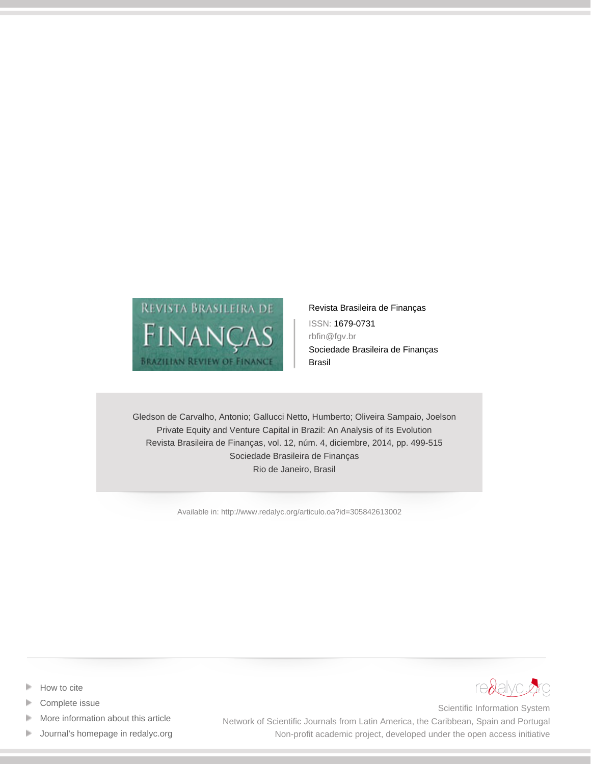

[Revista Brasileira de Finanças](http://www.redalyc.org/revista.oa?id=3058) ISSN: 1679-0731 rbfin@fgv.br Sociedade Brasileira de Finanças Brasil

Gledson de Carvalho, Antonio; Gallucci Netto, Humberto; Oliveira Sampaio, Joelson Private Equity and Venture Capital in Brazil: An Analysis of its Evolution Revista Brasileira de Finanças, vol. 12, núm. 4, diciembre, 2014, pp. 499-515 Sociedade Brasileira de Finanças Rio de Janeiro, Brasil

[Available in: http://www.redalyc.org/articulo.oa?id=305842613002](http://www.redalyc.org/articulo.oa?id=305842613002)



- [Complete issue](http://www.redalyc.org/fasciculo.oa?id=3058&numero=42613)
- [More information about this article](http://www.redalyc.org/articulo.oa?id=305842613002) Þ
- [Journal's homepage in redalyc.org](http://www.redalyc.org/revista.oa?id=3058)  $\mathbb P$



Scientific Information System Network of Scientific Journals from Latin America, the Caribbean, Spain and Portugal Non-profit academic project, developed under the open access initiative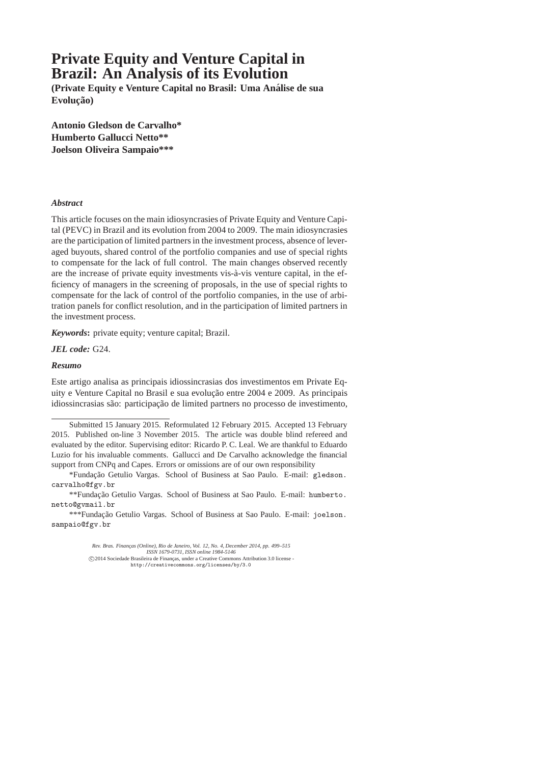# **Private Equity and Venture Capital in Brazil: An Analysis of its Evolution**

**(Private Equity e Venture Capital no Brasil: Uma Analise de sua ´**  $Evolução)$ 

**Antonio Gledson de Carvalho\* Humberto Gallucci Netto\*\* Joelson Oliveira Sampaio\*\*\***

#### *Abstract*

This article focuses on the main idiosyncrasies of Private Equity and Venture Capital (PEVC) in Brazil and its evolution from 2004 to 2009. The main idiosyncrasies are the participation of limited partners in the investment process, absence of leveraged buyouts, shared control of the portfolio companies and use of special rights to compensate for the lack of full control. The main changes observed recently are the increase of private equity investments vis-à-vis venture capital, in the efficiency of managers in the screening of proposals, in the use of special rights to compensate for the lack of control of the portfolio companies, in the use of arbitration panels for conflict resolution, and in the participation of limited partners in the investment process.

*Keywords***:** private equity; venture capital; Brazil.

*JEL code:* G24.

#### *Resumo*

Este artigo analisa as principais idiossincrasias dos investimentos em Private Equity e Venture Capital no Brasil e sua evolução entre 2004 e 2009. As principais idiossincrasias são: participação de limited partners no processo de investimento,

\*Fundação Getulio Vargas. School of Business at Sao Paulo. E-mail: gledson. carvalho@fgv.br

\*\*Fundação Getulio Vargas. School of Business at Sao Paulo. E-mail: humberto. netto@gvmail.br

\*\*\*Fundação Getulio Vargas. School of Business at Sao Paulo. E-mail: joelson. sampaio@fgv.br

> *Rev. Bras. Financas (Online), Rio de Janeiro, Vol. 12, No. 4, December 2014, pp. 499–515 ISSN 1679-0731, ISSN online 1984-5146* © 2014 Sociedade Brasileira de Finanças, under a Creative Commons Attribution 3.0 license -<br>http://creativecommons.org/licenses/by/3.0

Submitted 15 January 2015. Reformulated 12 February 2015. Accepted 13 February 2015. Published on-line 3 November 2015. The article was double blind refereed and evaluated by the editor. Supervising editor: Ricardo P. C. Leal. We are thankful to Eduardo Luzio for his invaluable comments. Gallucci and De Carvalho acknowledge the financial support from CNPq and Capes. Errors or omissions are of our own responsibility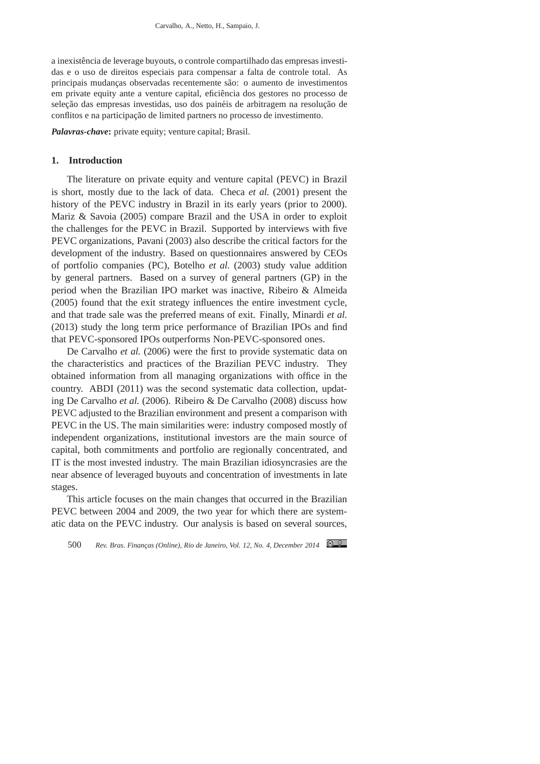a inexistência de leverage buyouts, o controle compartilhado das empresas investidas e o uso de direitos especiais para compensar a falta de controle total. As principais mudanças observadas recentemente são: o aumento de investimentos em private equity ante a venture capital, eficiência dos gestores no processo de seleção das empresas investidas, uso dos painéis de arbitragem na resolução de conflitos e na participação de limited partners no processo de investimento.

*Palavras-chave***:** private equity; venture capital; Brasil.

#### **1. Introduction**

The literature on private equity and venture capital (PEVC) in Brazil is short, mostly due to the lack of data. Checa *et al.* (2001) present the history of the PEVC industry in Brazil in its early years (prior to 2000). Mariz & Savoia (2005) compare Brazil and the USA in order to exploit the challenges for the PEVC in Brazil. Supported by interviews with five PEVC organizations, Pavani (2003) also describe the critical factors for the development of the industry. Based on questionnaires answered by CEOs of portfolio companies (PC), Botelho *et al.* (2003) study value addition by general partners. Based on a survey of general partners (GP) in the period when the Brazilian IPO market was inactive, Ribeiro & Almeida (2005) found that the exit strategy influences the entire investment cycle, and that trade sale was the preferred means of exit. Finally, Minardi *et al.* (2013) study the long term price performance of Brazilian IPOs and find that PEVC-sponsored IPOs outperforms Non-PEVC-sponsored ones.

De Carvalho *et al.* (2006) were the first to provide systematic data on the characteristics and practices of the Brazilian PEVC industry. They obtained information from all managing organizations with office in the country. ABDI (2011) was the second systematic data collection, updating De Carvalho *et al.* (2006). Ribeiro & De Carvalho (2008) discuss how PEVC adjusted to the Brazilian environment and present a comparison with PEVC in the US. The main similarities were: industry composed mostly of independent organizations, institutional investors are the main source of capital, both commitments and portfolio are regionally concentrated, and IT is the most invested industry. The main Brazilian idiosyncrasies are the near absence of leveraged buyouts and concentration of investments in late stages.

This article focuses on the main changes that occurred in the Brazilian PEVC between 2004 and 2009, the two year for which there are systematic data on the PEVC industry. Our analysis is based on several sources,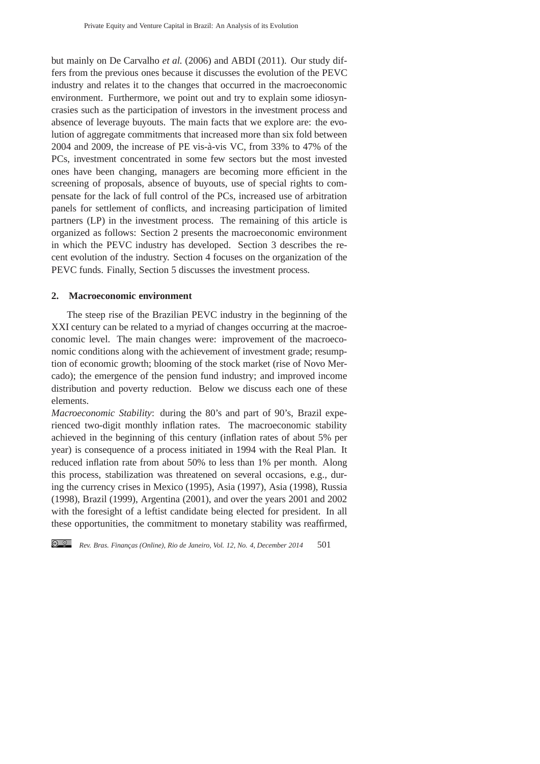but mainly on De Carvalho *et al.* (2006) and ABDI (2011). Our study differs from the previous ones because it discusses the evolution of the PEVC industry and relates it to the changes that occurred in the macroeconomic environment. Furthermore, we point out and try to explain some idiosyncrasies such as the participation of investors in the investment process and absence of leverage buyouts. The main facts that we explore are: the evolution of aggregate commitments that increased more than six fold between  $2004$  and  $2009$ , the increase of PE vis-à-vis VC, from 33% to 47% of the PCs, investment concentrated in some few sectors but the most invested ones have been changing, managers are becoming more efficient in the screening of proposals, absence of buyouts, use of special rights to compensate for the lack of full control of the PCs, increased use of arbitration panels for settlement of conflicts, and increasing participation of limited partners (LP) in the investment process. The remaining of this article is organized as follows: Section 2 presents the macroeconomic environment in which the PEVC industry has developed. Section 3 describes the recent evolution of the industry. Section 4 focuses on the organization of the PEVC funds. Finally, Section 5 discusses the investment process.

# **2. Macroeconomic environment**

The steep rise of the Brazilian PEVC industry in the beginning of the XXI century can be related to a myriad of changes occurring at the macroeconomic level. The main changes were: improvement of the macroeconomic conditions along with the achievement of investment grade; resumption of economic growth; blooming of the stock market (rise of Novo Mercado); the emergence of the pension fund industry; and improved income distribution and poverty reduction. Below we discuss each one of these elements.

*Macroeconomic Stability*: during the 80's and part of 90's, Brazil experienced two-digit monthly inflation rates. The macroeconomic stability achieved in the beginning of this century (inflation rates of about 5% per year) is consequence of a process initiated in 1994 with the Real Plan. It reduced inflation rate from about 50% to less than 1% per month. Along this process, stabilization was threatened on several occasions, e.g., during the currency crises in Mexico (1995), Asia (1997), Asia (1998), Russia (1998), Brazil (1999), Argentina (2001), and over the years 2001 and 2002 with the foresight of a leftist candidate being elected for president. In all these opportunities, the commitment to monetary stability was reaffirmed,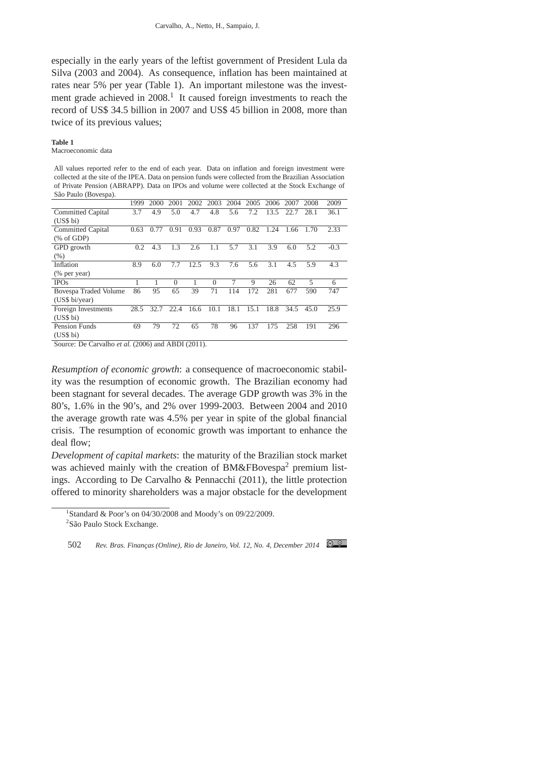especially in the early years of the leftist government of President Lula da Silva (2003 and 2004). As consequence, inflation has been maintained at rates near 5% per year (Table 1). An important milestone was the investment grade achieved in  $2008$ .<sup>1</sup> It caused foreign investments to reach the record of US\$ 34.5 billion in 2007 and US\$ 45 billion in 2008, more than twice of its previous values;

#### **Table 1**

Macroeconomic data

All values reported refer to the end of each year. Data on inflation and foreign investment were collected at the site of the IPEA. Data on pension funds were collected from the Brazilian Association of Private Pension (ABRAPP). Data on IPOs and volume were collected at the Stock Exchange of São Paulo (Bovespa).

|                          | 1999 | 2000 | 2001     | 2002 | 2003            | 2004 | 2005 | 2006 | 2007 | 2008 | 2009   |
|--------------------------|------|------|----------|------|-----------------|------|------|------|------|------|--------|
| Committed Capital        | 3.7  | 4.9  | 5.0      | 4.7  | 4.8             | 5.6  | 7.2  | 13.5 | 22.7 | 28.1 | 36.1   |
| (US\$ bi)                |      |      |          |      |                 |      |      |      |      |      |        |
| <b>Committed Capital</b> | 0.63 | 0.77 | 0.91     | 0.93 | .87<br>$\Omega$ | 0.97 | 0.82 | 1.24 | 1.66 | 1.70 | 2.33   |
| % of GDP                 |      |      |          |      |                 |      |      |      |      |      |        |
| GPD growth               | 0.2  | 4.3  | 1.3      | 2.6  | 1.1             | 5.7  | 3.1  | 3.9  | 6.0  | 5.2  | $-0.3$ |
| (% )                     |      |      |          |      |                 |      |      |      |      |      |        |
| Inflation                | 8.9  | 6.0  | 7.7      | 12.5 | 9.3             | 7.6  | 5.6  | 3.1  | 4.5  | 5.9  | 4.3    |
| (% per year)             |      |      |          |      |                 |      |      |      |      |      |        |
| <b>IPOs</b>              |      |      | $\Omega$ |      | $\Omega$        | 7    | 9    | 26   | 62   | 5    | 6      |
| Bovespa Traded Volume    | 86   | 95   | 65       | 39   | 71              | 114  | 172  | 281  | 677  | 590  | 747    |
| (US\$ bi/year)           |      |      |          |      |                 |      |      |      |      |      |        |
| Foreign Investments      | 28.5 | 32.7 | 22.4     | 16.6 | 10.1            | 18.1 | 15.1 | 18.8 | 34.5 | 45.0 | 25.9   |
| (US\$ bi)                |      |      |          |      |                 |      |      |      |      |      |        |
| <b>Pension Funds</b>     | 69   | 79   | 72       | 65   | 78              | 96   | 137  | 175  | 258  | 191  | 296    |
| (US\$ bi)                |      |      |          |      |                 |      |      |      |      |      |        |

Source: De Carvalho *et al.* (2006) and ABDI (2011).

*Resumption of economic growth*: a consequence of macroeconomic stability was the resumption of economic growth. The Brazilian economy had been stagnant for several decades. The average GDP growth was 3% in the 80's, 1.6% in the 90's, and 2% over 1999-2003. Between 2004 and 2010 the average growth rate was 4.5% per year in spite of the global financial crisis. The resumption of economic growth was important to enhance the deal flow;

*Development of capital markets*: the maturity of the Brazilian stock market was achieved mainly with the creation of BM&FBovespa<sup>2</sup> premium listings. According to De Carvalho & Pennacchi (2011), the little protection offered to minority shareholders was a major obstacle for the development

<sup>&</sup>lt;sup>1</sup>Standard & Poor's on 04/30/2008 and Moody's on 09/22/2009. <sup>2</sup>São Paulo Stock Exchange.

<sup>502</sup> Rev. Bras. Finanças (Online), Rio de Janeiro, Vol. 12, No. 4, December 2014 **@** 0.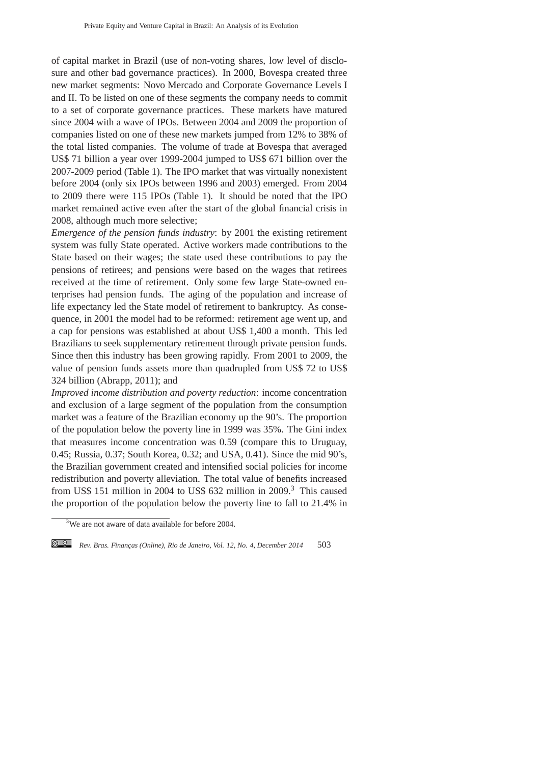of capital market in Brazil (use of non-voting shares, low level of disclosure and other bad governance practices). In 2000, Bovespa created three new market segments: Novo Mercado and Corporate Governance Levels I and II. To be listed on one of these segments the company needs to commit to a set of corporate governance practices. These markets have matured since 2004 with a wave of IPOs. Between 2004 and 2009 the proportion of companies listed on one of these new markets jumped from 12% to 38% of the total listed companies. The volume of trade at Bovespa that averaged US\$ 71 billion a year over 1999-2004 jumped to US\$ 671 billion over the 2007-2009 period (Table 1). The IPO market that was virtually nonexistent before 2004 (only six IPOs between 1996 and 2003) emerged. From 2004 to 2009 there were 115 IPOs (Table 1). It should be noted that the IPO market remained active even after the start of the global financial crisis in 2008, although much more selective;

*Emergence of the pension funds industry*: by 2001 the existing retirement system was fully State operated. Active workers made contributions to the State based on their wages; the state used these contributions to pay the pensions of retirees; and pensions were based on the wages that retirees received at the time of retirement. Only some few large State-owned enterprises had pension funds. The aging of the population and increase of life expectancy led the State model of retirement to bankruptcy. As consequence, in 2001 the model had to be reformed: retirement age went up, and a cap for pensions was established at about US\$ 1,400 a month. This led Brazilians to seek supplementary retirement through private pension funds. Since then this industry has been growing rapidly. From 2001 to 2009, the value of pension funds assets more than quadrupled from US\$ 72 to US\$ 324 billion (Abrapp, 2011); and

*Improved income distribution and poverty reduction*: income concentration and exclusion of a large segment of the population from the consumption market was a feature of the Brazilian economy up the 90's. The proportion of the population below the poverty line in 1999 was 35%. The Gini index that measures income concentration was 0.59 (compare this to Uruguay, 0.45; Russia, 0.37; South Korea, 0.32; and USA, 0.41). Since the mid 90's, the Brazilian government created and intensified social policies for income redistribution and poverty alleviation. The total value of benefits increased from US\$ 151 million in 2004 to US\$ 632 million in 2009.<sup>3</sup> This caused the proportion of the population below the poverty line to fall to 21.4% in

 $3\overline{3}$ We are not aware of data available for before 2004.

*Rev. Bras. Financ¸as (Online), Rio de Janeiro, Vol. 12, No. 4, December 2014* 503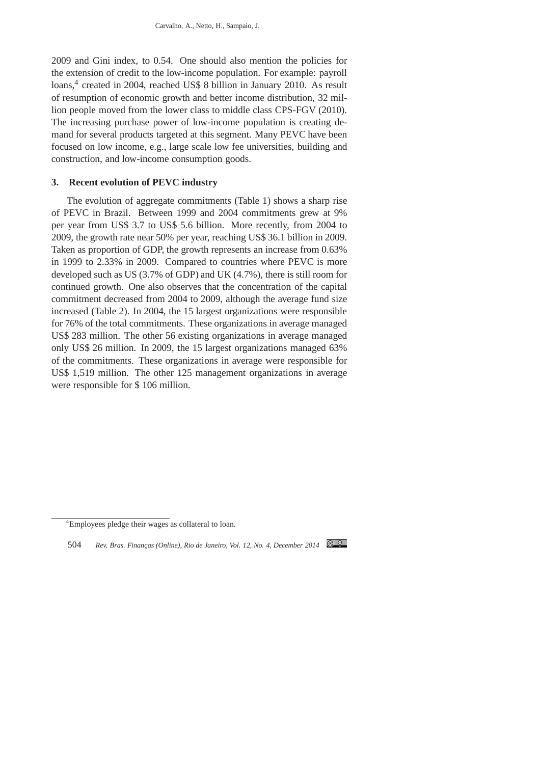2009 and Gini index, to 0.54. One should also mention the policies for the extension of credit to the low-income population. For example: payroll loans,<sup>4</sup> created in 2004, reached US\$ 8 billion in January 2010. As result of resumption of economic growth and better income distribution, 32 million people moved from the lower class to middle class CPS-FGV (2010). The increasing purchase power of low-income population is creating demand for several products targeted at this segment. Many PEVC have been focused on low income, e.g., large scale low fee universities, building and construction, and low-income consumption goods.

# **3. Recent evolution of PEVC industry**

The evolution of aggregate commitments (Table 1) shows a sharp rise of PEVC in Brazil. Between 1999 and 2004 commitments grew at 9% per year from US\$ 3.7 to US\$ 5.6 billion. More recently, from 2004 to 2009, the growth rate near 50% per year, reaching US\$ 36.1 billion in 2009. Taken as proportion of GDP, the growth represents an increase from 0.63% in 1999 to 2.33% in 2009. Compared to countries where PEVC is more developed such as US (3.7% of GDP) and UK (4.7%), there is still room for continued growth. One also observes that the concentration of the capital commitment decreased from 2004 to 2009, although the average fund size increased (Table 2). In 2004, the 15 largest organizations were responsible for 76% of the total commitments. These organizations in average managed US\$ 283 million. The other 56 existing organizations in average managed only US\$ 26 million. In 2009, the 15 largest organizations managed 63% of the commitments. These organizations in average were responsible for US\$ 1,519 million. The other 125 management organizations in average were responsible for \$ 106 million.

<sup>4</sup>Employees pledge their wages as collateral to loan.

<sup>504</sup> Rev. Bras. Finanças (Online), Rio de Janeiro, Vol. 12, No. 4, December 2014 C.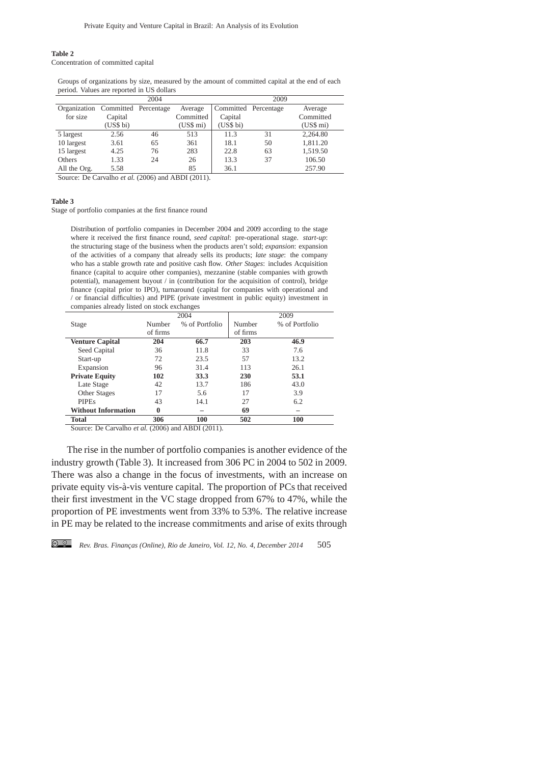#### **Table 2**

Concentration of committed capital

Groups of organizations by size, measured by the amount of committed capital at the end of each period. Values are reported in US dollars

|              |                      | 2004 |           |                      | 2009 |           |
|--------------|----------------------|------|-----------|----------------------|------|-----------|
| Organization | Committed Percentage |      | Average   | Committed Percentage |      | Average   |
| for size     | Capital              |      | Committed | Capital              |      | Committed |
|              | (US\$ bi)            |      | (US\$ mi) | (US\$ bi)            |      | (US\$ mi) |
| 5 largest    | 2.56                 | 46   | 513       | 11.3                 | 31   | 2,264.80  |
| 10 largest   | 3.61                 | 65   | 361       | 18.1                 | 50   | 1,811.20  |
| 15 largest   | 4.25                 | 76   | 283       | 22.8                 | 63   | 1,519.50  |
| Others       | 1.33                 | 24   | 26        | 13.3                 | 37   | 106.50    |
| All the Org. | 5.58                 |      | 85        | 36.1                 |      | 257.90    |

Source: De Carvalho et al. (2006) and ABDI (2011).

#### **Table 3**

Stage of portfolio companies at the first finance round

Distribution of portfolio companies in December 2004 and 2009 according to the stage where it received the first finance round, *seed capital*: pre-operational stage. *start-up*: the structuring stage of the business when the products aren't sold; *expansion*: expansion of the activities of a company that already sells its products; *late stage*: the company who has a stable growth rate and positive cash flow. *Other Stages*: includes Acquisition finance (capital to acquire other companies), mezzanine (stable companies with growth potential), management buyout / in (contribution for the acquisition of control), bridge finance (capital prior to IPO), turnaround (capital for companies with operational and / or financial difficulties) and PIPE (private investment in public equity) investment in companies already listed on stock exchanges

|                                                        |          | 2004           |          | 2009           |  |  |  |  |
|--------------------------------------------------------|----------|----------------|----------|----------------|--|--|--|--|
| Stage                                                  | Number   | % of Portfolio | Number   | % of Portfolio |  |  |  |  |
|                                                        | of firms |                | of firms |                |  |  |  |  |
| <b>Venture Capital</b>                                 | 204      | 66.7           | 203      | 46.9           |  |  |  |  |
| Seed Capital                                           | 36       | 11.8           | 33       | 7.6            |  |  |  |  |
| Start-up                                               | 72       | 23.5           | 57       | 13.2           |  |  |  |  |
| Expansion                                              | 96       | 31.4           | 113      | 26.1           |  |  |  |  |
| <b>Private Equity</b>                                  | 102      | 33.3           | 230      | 53.1           |  |  |  |  |
| Late Stage                                             | 42       | 13.7           | 186      | 43.0           |  |  |  |  |
| <b>Other Stages</b>                                    | 17       | 5.6            | 17       | 3.9            |  |  |  |  |
| <b>PIPEs</b>                                           | 43       | 14.1           | 27       | 6.2            |  |  |  |  |
| <b>Without Information</b>                             | 0        |                | 69       |                |  |  |  |  |
| Total                                                  | 306      | 100            | 502      | 100            |  |  |  |  |
| $A = D \cap A = 11$ $(0.0000 - 1)$ $ADDI \neq (0.011)$ |          |                |          |                |  |  |  |  |

Source: De Carvalho *et al.* (2006) and ABDI (2011).

The rise in the number of portfolio companies is another evidence of the industry growth (Table 3). It increased from 306 PC in 2004 to 502 in 2009. There was also a change in the focus of investments, with an increase on private equity vis-à-vis venture capital. The proportion of PCs that received their first investment in the VC stage dropped from 67% to 47%, while the proportion of PE investments went from 33% to 53%. The relative increase in PE may be related to the increase commitments and arise of exits through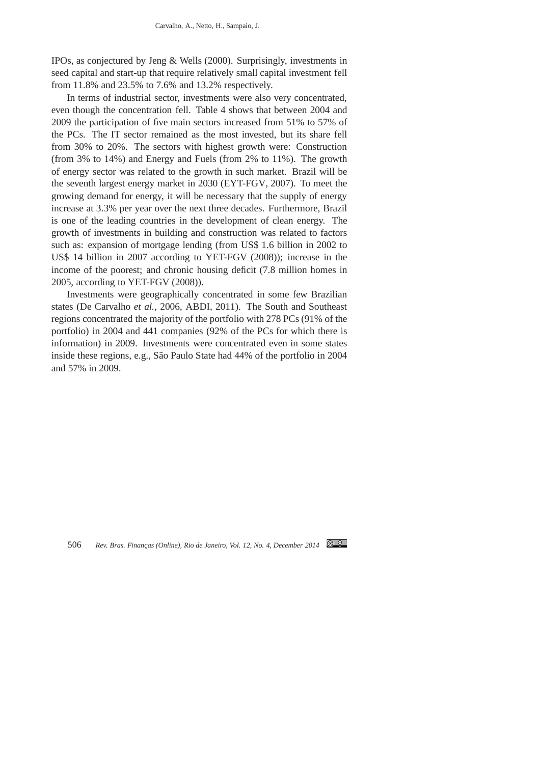IPOs, as conjectured by Jeng & Wells (2000). Surprisingly, investments in seed capital and start-up that require relatively small capital investment fell from 11.8% and 23.5% to 7.6% and 13.2% respectively.

In terms of industrial sector, investments were also very concentrated, even though the concentration fell. Table 4 shows that between 2004 and 2009 the participation of five main sectors increased from 51% to 57% of the PCs. The IT sector remained as the most invested, but its share fell from 30% to 20%. The sectors with highest growth were: Construction (from 3% to 14%) and Energy and Fuels (from 2% to 11%). The growth of energy sector was related to the growth in such market. Brazil will be the seventh largest energy market in 2030 (EYT-FGV, 2007). To meet the growing demand for energy, it will be necessary that the supply of energy increase at 3.3% per year over the next three decades. Furthermore, Brazil is one of the leading countries in the development of clean energy. The growth of investments in building and construction was related to factors such as: expansion of mortgage lending (from US\$ 1.6 billion in 2002 to US\$ 14 billion in 2007 according to YET-FGV (2008)); increase in the income of the poorest; and chronic housing deficit (7.8 million homes in 2005, according to YET-FGV (2008)).

Investments were geographically concentrated in some few Brazilian states (De Carvalho *et al.*, 2006, ABDI, 2011). The South and Southeast regions concentrated the majority of the portfolio with 278 PCs (91% of the portfolio) in 2004 and 441 companies (92% of the PCs for which there is information) in 2009. Investments were concentrated even in some states inside these regions, e.g., São Paulo State had 44% of the portfolio in 2004 and 57% in 2009.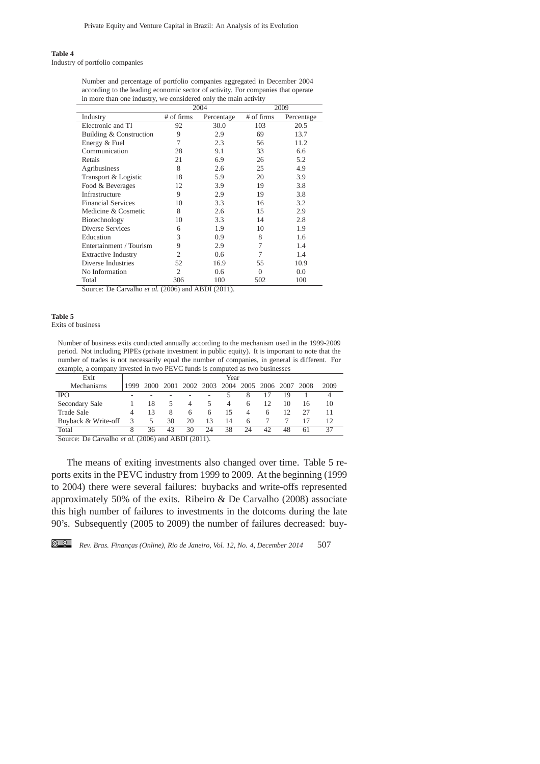# **Table 4**

Industry of portfolio companies

Number and percentage of portfolio companies aggregated in December 2004 according to the leading economic sector of activity. For companies that operate in more than one industry, we considered only the main activity

|                            |                | 2004       | 2009       |            |  |
|----------------------------|----------------|------------|------------|------------|--|
| Industry                   | # of firms     | Percentage | # of firms | Percentage |  |
| Electronic and TI          | 92             | 30.0       | 103        | 20.5       |  |
| Building & Construction    | 9              | 2.9        | 69         | 13.7       |  |
| Energy & Fuel              | 7              | 2.3        | 56         | 11.2       |  |
| Communication              | 28             | 9.1        | 33         | 6.6        |  |
| Retais                     | 21             | 6.9        | 26         | 5.2        |  |
| Agribusiness               | 8              | 2.6        | 25         | 4.9        |  |
| Transport & Logistic       | 18             | 5.9        | 20         | 3.9        |  |
| Food & Beverages           | 12             | 3.9        | 19         | 3.8        |  |
| Infrastructure             | 9              | 2.9        | 19         | 3.8        |  |
| <b>Financial Services</b>  | 10             | 3.3        | 16         | 3.2        |  |
| Medicine & Cosmetic        | 8              | 2.6        | 15         | 2.9        |  |
| Biotechnology              | 10             | 3.3        | 14         | 2.8        |  |
| Diverse Services           | 6              | 1.9        | 10         | 1.9        |  |
| Education                  | 3              | 0.9        | 8          | 1.6        |  |
| Entertainment / Tourism    | 9              | 2.9        | 7          | 1.4        |  |
| <b>Extractive Industry</b> | 2              | 0.6        | 7          | 1.4        |  |
| Diverse Industries         | 52             | 16.9       | 55         | 10.9       |  |
| No Information             | $\overline{2}$ | 0.6        | $\Omega$   | 0.0        |  |
| Total                      | 306            | 100        | 502        | 100        |  |

Source: De Carvalho *et al.* (2006) and ABDI (2011).

#### **Table 5**

Exits of business

Number of business exits conducted annually according to the mechanism used in the 1999-2009 period. Not including PIPEs (private investment in public equity). It is important to note that the number of trades is not necessarily equal the number of companies, in general is different. For example, a company invested in two PEVC funds is computed as two businesses

| Exit                | Year |    |    |    |           |    |    |                     |    |      |      |
|---------------------|------|----|----|----|-----------|----|----|---------------------|----|------|------|
| Mechanisms          | 999  |    |    |    | 2002 2003 |    |    | 2004 2005 2006 2007 |    | 2008 | 2009 |
| <b>IPO</b>          |      |    |    |    |           |    | 8  |                     | 19 |      |      |
| Secondary Sale      |      | 18 |    | 4  |           | 4  | 6  | 12                  | 10 | 16   | 10   |
| Trade Sale          |      | 13 | 8  | 6  | 6         | 15 | 4  | 6                   | 12 | 27   | 11   |
| Buyback & Write-off | 3    | 5  | 30 | 20 | 13        | 14 | 6  |                     |    | 17   | 12   |
| Total               | 8    | 3h | 43 | 30 | 24        | 38 | 24 |                     | 48 | 61   |      |

Source: De Carvalho *et al.* (2006) and ABDI (2011).

The means of exiting investments also changed over time. Table 5 reports exits in the PEVC industry from 1999 to 2009. At the beginning (1999 to 2004) there were several failures: buybacks and write-offs represented approximately 50% of the exits. Ribeiro & De Carvalho (2008) associate this high number of failures to investments in the dotcoms during the late 90's. Subsequently (2005 to 2009) the number of failures decreased: buy-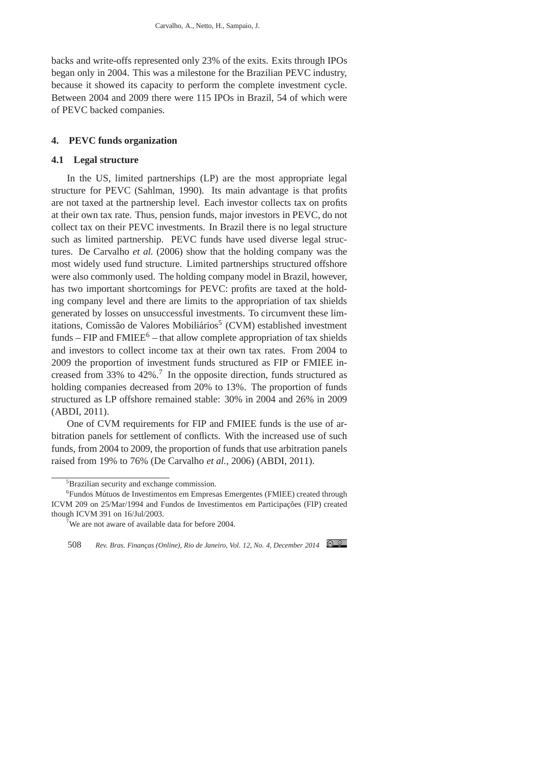backs and write-offs represented only 23% of the exits. Exits through IPOs began only in 2004. This was a milestone for the Brazilian PEVC industry, because it showed its capacity to perform the complete investment cycle. Between 2004 and 2009 there were 115 IPOs in Brazil, 54 of which were of PEVC backed companies.

# **4. PEVC funds organization**

#### **4.1 Legal structure**

In the US, limited partnerships (LP) are the most appropriate legal structure for PEVC (Sahlman, 1990). Its main advantage is that profits are not taxed at the partnership level. Each investor collects tax on profits at their own tax rate. Thus, pension funds, major investors in PEVC, do not collect tax on their PEVC investments. In Brazil there is no legal structure such as limited partnership. PEVC funds have used diverse legal structures. De Carvalho *et al.* (2006) show that the holding company was the most widely used fund structure. Limited partnerships structured offshore were also commonly used. The holding company model in Brazil, however, has two important shortcomings for PEVC: profits are taxed at the holding company level and there are limits to the appropriation of tax shields generated by losses on unsuccessful investments. To circumvent these limitations, Comissão de Valores Mobiliários<sup>5</sup> (CVM) established investment funds –  $FIP$  and  $FMIEE<sup>6</sup>$  – that allow complete appropriation of tax shields and investors to collect income tax at their own tax rates. From 2004 to 2009 the proportion of investment funds structured as FIP or FMIEE increased from 33% to 42%.<sup>7</sup> In the opposite direction, funds structured as holding companies decreased from 20% to 13%. The proportion of funds structured as LP offshore remained stable: 30% in 2004 and 26% in 2009 (ABDI, 2011).

One of CVM requirements for FIP and FMIEE funds is the use of arbitration panels for settlement of conflicts. With the increased use of such funds, from 2004 to 2009, the proportion of funds that use arbitration panels raised from 19% to 76% (De Carvalho *et al.*, 2006) (ABDI, 2011).

<sup>&</sup>lt;sup>5</sup>Brazilian security and exchange commission.

 $6$ Fundos Mútuos de Investimentos em Empresas Emergentes (FMIEE) created through ICVM 209 on 25/Mar/1994 and Fundos de Investimentos em Participacões (FIP) created though ICVM 391 on 16/Jul/2003.

<sup>&</sup>lt;sup>7</sup>We are not aware of available data for before 2004.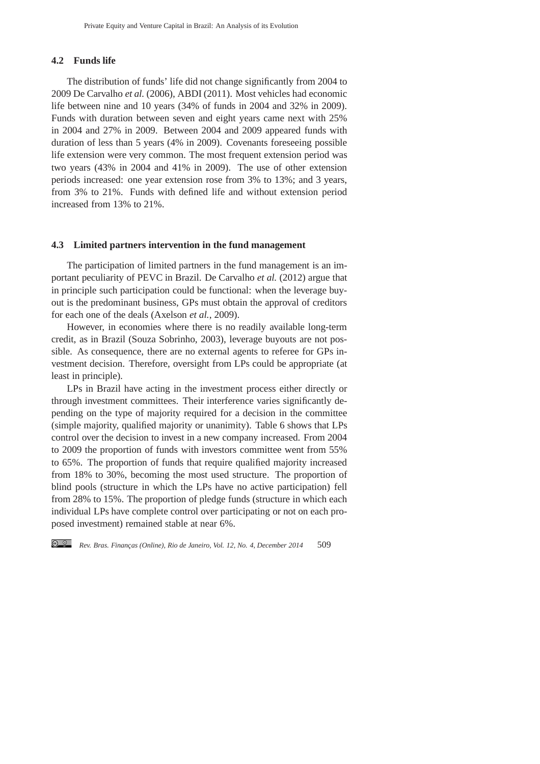# **4.2 Funds life**

The distribution of funds' life did not change significantly from 2004 to 2009 De Carvalho *et al.* (2006), ABDI (2011). Most vehicles had economic life between nine and 10 years (34% of funds in 2004 and 32% in 2009). Funds with duration between seven and eight years came next with 25% in 2004 and 27% in 2009. Between 2004 and 2009 appeared funds with duration of less than 5 years (4% in 2009). Covenants foreseeing possible life extension were very common. The most frequent extension period was two years (43% in 2004 and 41% in 2009). The use of other extension periods increased: one year extension rose from 3% to 13%; and 3 years, from 3% to 21%. Funds with defined life and without extension period increased from 13% to 21%.

# **4.3 Limited partners intervention in the fund management**

The participation of limited partners in the fund management is an important peculiarity of PEVC in Brazil. De Carvalho *et al.* (2012) argue that in principle such participation could be functional: when the leverage buyout is the predominant business, GPs must obtain the approval of creditors for each one of the deals (Axelson *et al.*, 2009).

However, in economies where there is no readily available long-term credit, as in Brazil (Souza Sobrinho, 2003), leverage buyouts are not possible. As consequence, there are no external agents to referee for GPs investment decision. Therefore, oversight from LPs could be appropriate (at least in principle).

LPs in Brazil have acting in the investment process either directly or through investment committees. Their interference varies significantly depending on the type of majority required for a decision in the committee (simple majority, qualified majority or unanimity). Table 6 shows that LPs control over the decision to invest in a new company increased. From 2004 to 2009 the proportion of funds with investors committee went from 55% to 65%. The proportion of funds that require qualified majority increased from 18% to 30%, becoming the most used structure. The proportion of blind pools (structure in which the LPs have no active participation) fell from 28% to 15%. The proportion of pledge funds (structure in which each individual LPs have complete control over participating or not on each proposed investment) remained stable at near 6%.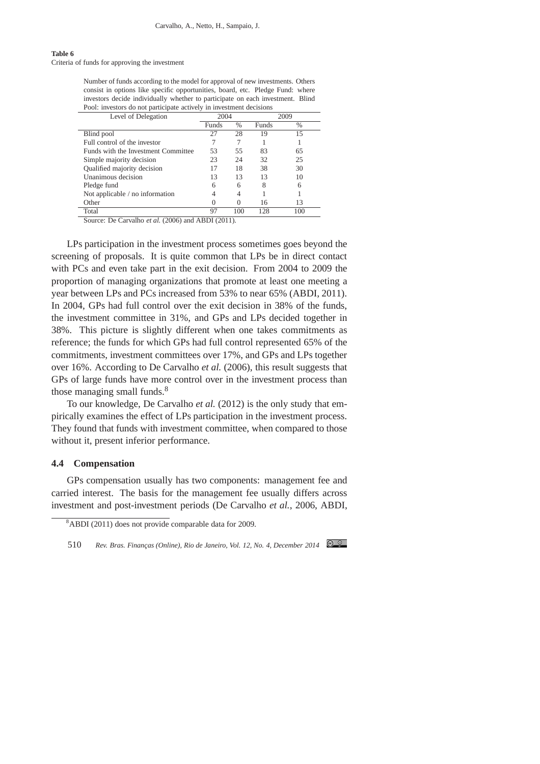#### **Table 6**

Criteria of funds for approving the investment

Number of funds according to the model for approval of new investments. Others consist in options like specific opportunities, board, etc. Pledge Fund: where investors decide individually whether to participate on each investment. Blind Pool: investors do not participate actively in investment decisions

| Level of Delegation                 | 2004  |               | 2009         |               |  |
|-------------------------------------|-------|---------------|--------------|---------------|--|
|                                     | Funds | $\frac{0}{0}$ | <b>Funds</b> | $\frac{0}{0}$ |  |
| Blind pool                          | 27    | 28            | 19           | 15            |  |
| Full control of the investor        |       |               |              |               |  |
| Funds with the Investment Committee | 53    | 55            | 83           | 65            |  |
| Simple majority decision            | 23    | 24            | 32           | 25            |  |
| Qualified majority decision         | 17    | 18            | 38           | 30            |  |
| Unanimous decision                  | 13    | 13            | 13           | 10            |  |
| Pledge fund                         | 6     | 6             | 8            | 6             |  |
| Not applicable / no information     |       | 4             |              |               |  |
| Other                               |       |               | 16           | 13            |  |
| Total                               | 97    | 100           | 128          | 100           |  |

Source: De Carvalho *et al.* (2006) and ABDI (2011).

LPs participation in the investment process sometimes goes beyond the screening of proposals. It is quite common that LPs be in direct contact with PCs and even take part in the exit decision. From 2004 to 2009 the proportion of managing organizations that promote at least one meeting a year between LPs and PCs increased from 53% to near 65% (ABDI, 2011). In 2004, GPs had full control over the exit decision in 38% of the funds, the investment committee in 31%, and GPs and LPs decided together in 38%. This picture is slightly different when one takes commitments as reference; the funds for which GPs had full control represented 65% of the commitments, investment committees over 17%, and GPs and LPs together over 16%. According to De Carvalho *et al.* (2006), this result suggests that GPs of large funds have more control over in the investment process than those managing small funds.<sup>8</sup>

To our knowledge, De Carvalho *et al.* (2012) is the only study that empirically examines the effect of LPs participation in the investment process. They found that funds with investment committee, when compared to those without it, present inferior performance.

## **4.4 Compensation**

GPs compensation usually has two components: management fee and carried interest. The basis for the management fee usually differs across investment and post-investment periods (De Carvalho *et al.*, 2006, ABDI,

<sup>8</sup>ABDI (2011) does not provide comparable data for 2009.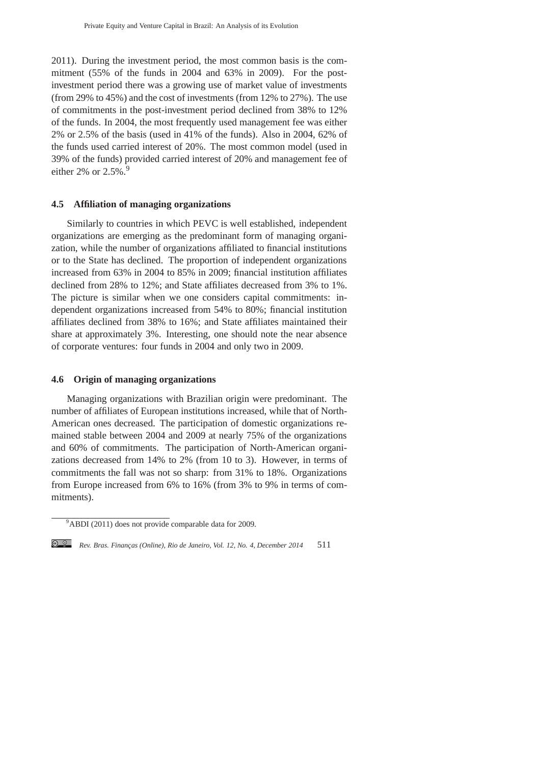2011). During the investment period, the most common basis is the commitment (55% of the funds in 2004 and 63% in 2009). For the postinvestment period there was a growing use of market value of investments (from 29% to 45%) and the cost of investments (from 12% to 27%). The use of commitments in the post-investment period declined from 38% to 12% of the funds. In 2004, the most frequently used management fee was either 2% or 2.5% of the basis (used in 41% of the funds). Also in 2004, 62% of the funds used carried interest of 20%. The most common model (used in 39% of the funds) provided carried interest of 20% and management fee of either 2% or  $2.5\%$ .<sup>9</sup>

# **4.5 Affiliation of managing organizations**

Similarly to countries in which PEVC is well established, independent organizations are emerging as the predominant form of managing organization, while the number of organizations affiliated to financial institutions or to the State has declined. The proportion of independent organizations increased from 63% in 2004 to 85% in 2009; financial institution affiliates declined from 28% to 12%; and State affiliates decreased from 3% to 1%. The picture is similar when we one considers capital commitments: independent organizations increased from 54% to 80%; financial institution affiliates declined from 38% to 16%; and State affiliates maintained their share at approximately 3%. Interesting, one should note the near absence of corporate ventures: four funds in 2004 and only two in 2009.

# **4.6 Origin of managing organizations**

Managing organizations with Brazilian origin were predominant. The number of affiliates of European institutions increased, while that of North-American ones decreased. The participation of domestic organizations remained stable between 2004 and 2009 at nearly 75% of the organizations and 60% of commitments. The participation of North-American organizations decreased from 14% to 2% (from 10 to 3). However, in terms of commitments the fall was not so sharp: from 31% to 18%. Organizations from Europe increased from 6% to 16% (from 3% to 9% in terms of commitments).

<sup>&</sup>lt;sup>9</sup>ABDI (2011) does not provide comparable data for 2009.

*Rev. Bras. Financ¸as (Online), Rio de Janeiro, Vol. 12, No. 4, December 2014* 511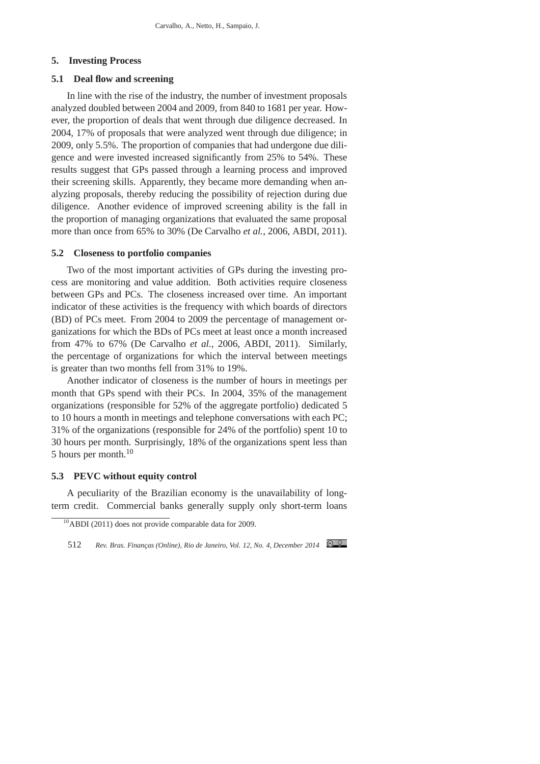#### **5. Investing Process**

# **5.1 Deal flow and screening**

In line with the rise of the industry, the number of investment proposals analyzed doubled between 2004 and 2009, from 840 to 1681 per year. However, the proportion of deals that went through due diligence decreased. In 2004, 17% of proposals that were analyzed went through due diligence; in 2009, only 5.5%. The proportion of companies that had undergone due diligence and were invested increased significantly from 25% to 54%. These results suggest that GPs passed through a learning process and improved their screening skills. Apparently, they became more demanding when analyzing proposals, thereby reducing the possibility of rejection during due diligence. Another evidence of improved screening ability is the fall in the proportion of managing organizations that evaluated the same proposal more than once from 65% to 30% (De Carvalho *et al.*, 2006, ABDI, 2011).

### **5.2 Closeness to portfolio companies**

Two of the most important activities of GPs during the investing process are monitoring and value addition. Both activities require closeness between GPs and PCs. The closeness increased over time. An important indicator of these activities is the frequency with which boards of directors (BD) of PCs meet. From 2004 to 2009 the percentage of management organizations for which the BDs of PCs meet at least once a month increased from 47% to 67% (De Carvalho *et al.*, 2006, ABDI, 2011). Similarly, the percentage of organizations for which the interval between meetings is greater than two months fell from 31% to 19%.

Another indicator of closeness is the number of hours in meetings per month that GPs spend with their PCs. In 2004, 35% of the management organizations (responsible for 52% of the aggregate portfolio) dedicated 5 to 10 hours a month in meetings and telephone conversations with each PC; 31% of the organizations (responsible for 24% of the portfolio) spent 10 to 30 hours per month. Surprisingly, 18% of the organizations spent less than 5 hours per month.<sup>10</sup>

# **5.3 PEVC without equity control**

A peculiarity of the Brazilian economy is the unavailability of longterm credit. Commercial banks generally supply only short-term loans

 $\frac{10}{4}$ ABDI (2011) does not provide comparable data for 2009.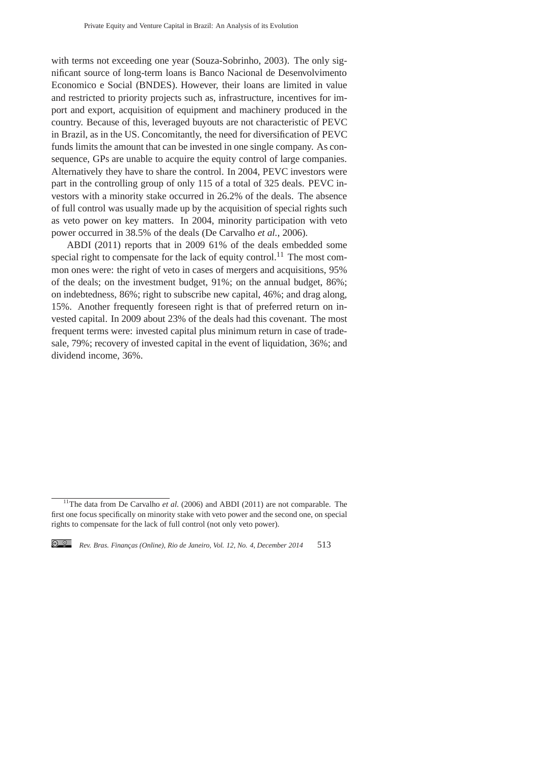with terms not exceeding one year (Souza-Sobrinho, 2003). The only significant source of long-term loans is Banco Nacional de Desenvolvimento Economico e Social (BNDES). However, their loans are limited in value and restricted to priority projects such as, infrastructure, incentives for import and export, acquisition of equipment and machinery produced in the country. Because of this, leveraged buyouts are not characteristic of PEVC in Brazil, as in the US. Concomitantly, the need for diversification of PEVC funds limits the amount that can be invested in one single company. As consequence, GPs are unable to acquire the equity control of large companies. Alternatively they have to share the control. In 2004, PEVC investors were part in the controlling group of only 115 of a total of 325 deals. PEVC investors with a minority stake occurred in 26.2% of the deals. The absence of full control was usually made up by the acquisition of special rights such as veto power on key matters. In 2004, minority participation with veto power occurred in 38.5% of the deals (De Carvalho *et al.*, 2006).

ABDI (2011) reports that in 2009 61% of the deals embedded some special right to compensate for the lack of equity control.<sup>11</sup> The most common ones were: the right of veto in cases of mergers and acquisitions, 95% of the deals; on the investment budget, 91%; on the annual budget, 86%; on indebtedness, 86%; right to subscribe new capital, 46%; and drag along, 15%. Another frequently foreseen right is that of preferred return on invested capital. In 2009 about 23% of the deals had this covenant. The most frequent terms were: invested capital plus minimum return in case of tradesale, 79%; recovery of invested capital in the event of liquidation, 36%; and dividend income, 36%.

<sup>&</sup>lt;sup>11</sup>The data from De Carvalho *et al.* (2006) and ABDI (2011) are not comparable. The first one focus specifically on minority stake with veto power and the second one, on special rights to compensate for the lack of full control (not only veto power).

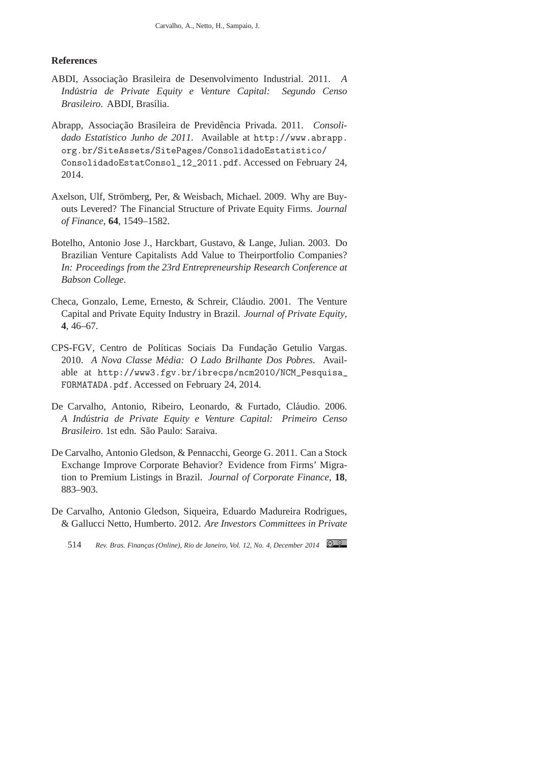### **References**

- ABDI, Associação Brasileira de Desenvolvimento Industrial. 2011. *A Industria de Private Equity e Venture Capital: Segundo Censo ´*  $Brasileiro$ . **ABDI**, Brasília.
- Abrapp, Associação Brasileira de Previdência Privada. 2011. Consoli*dado Estat´ıstico Junho de 2011*. Available at http://www.abrapp. org.br/SiteAssets/SitePages/ConsolidadoEstatistico/ ConsolidadoEstatConsol\_12\_2011.pdf. Accessed on February 24, 2014.
- Axelson, Ulf, Strömberg, Per, & Weisbach, Michael. 2009. Why are Buyouts Levered? The Financial Structure of Private Equity Firms. *Journal of Finance*, **64**, 1549–1582.
- Botelho, Antonio Jose J., Harckbart, Gustavo, & Lange, Julian. 2003. Do Brazilian Venture Capitalists Add Value to Theirportfolio Companies? *In: Proceedings from the 23rd Entrepreneurship Research Conference at Babson College*.
- Checa, Gonzalo, Leme, Ernesto, & Schreir, Cláudio. 2001. The Venture Capital and Private Equity Industry in Brazil. *Journal of Private Equity*, **4**, 46–67.
- CPS-FGV, Centro de Políticas Sociais Da Fundação Getulio Vargas. 2010. *A Nova Classe Media: O Lado Brilhante Dos Pobres ´* . Available at http://www3.fgv.br/ibrecps/ncm2010/NCM\_Pesquisa\_ FORMATADA.pdf. Accessed on February 24, 2014.
- De Carvalho, Antonio, Ribeiro, Leonardo, & Furtado, Cláudio. 2006. *A Industria de Private Equity e Venture Capital: Primeiro Censo ´ Brasileiro*. 1st edn. S˜ao Paulo: Saraiva.
- De Carvalho, Antonio Gledson, & Pennacchi, George G. 2011. Can a Stock Exchange Improve Corporate Behavior? Evidence from Firms' Migration to Premium Listings in Brazil. *Journal of Corporate Finance*, **18**, 883–903.
- De Carvalho, Antonio Gledson, Siqueira, Eduardo Madureira Rodrigues, & Gallucci Netto, Humberto. 2012. *Are Investors Committees in Private*